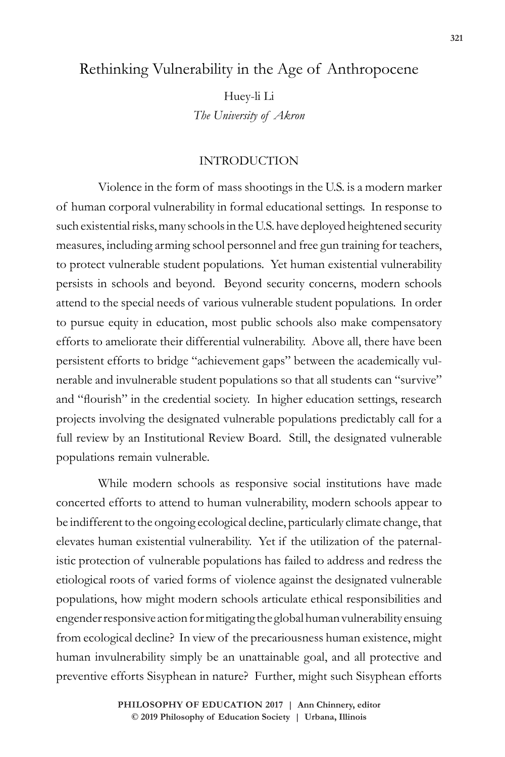## Rethinking Vulnerability in the Age of Anthropocene

Huey-li Li *The University of Akron*

### INTRODUCTION

Violence in the form of mass shootings in the U.S. is a modern marker of human corporal vulnerability in formal educational settings. In response to such existential risks, many schools in the U.S. have deployed heightened security measures, including arming school personnel and free gun training for teachers, to protect vulnerable student populations. Yet human existential vulnerability persists in schools and beyond. Beyond security concerns, modern schools attend to the special needs of various vulnerable student populations. In order to pursue equity in education, most public schools also make compensatory efforts to ameliorate their differential vulnerability. Above all, there have been persistent efforts to bridge "achievement gaps" between the academically vulnerable and invulnerable student populations so that all students can "survive" and "flourish" in the credential society. In higher education settings, research projects involving the designated vulnerable populations predictably call for a full review by an Institutional Review Board. Still, the designated vulnerable populations remain vulnerable.

While modern schools as responsive social institutions have made concerted efforts to attend to human vulnerability, modern schools appear to be indifferent to the ongoing ecological decline, particularly climate change, that elevates human existential vulnerability. Yet if the utilization of the paternalistic protection of vulnerable populations has failed to address and redress the etiological roots of varied forms of violence against the designated vulnerable populations, how might modern schools articulate ethical responsibilities and engender responsive action for mitigating the global human vulnerability ensuing from ecological decline? In view of the precariousness human existence, might human invulnerability simply be an unattainable goal, and all protective and preventive efforts Sisyphean in nature? Further, might such Sisyphean efforts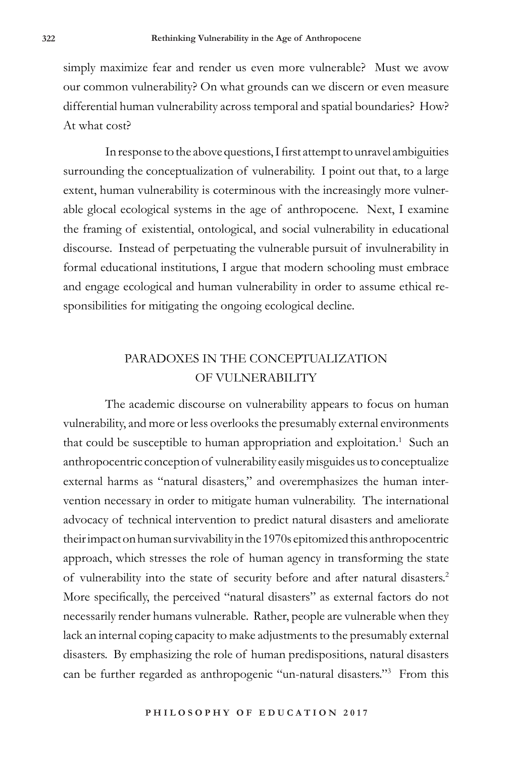simply maximize fear and render us even more vulnerable? Must we avow our common vulnerability? On what grounds can we discern or even measure differential human vulnerability across temporal and spatial boundaries? How? At what cost?

In response to the above questions, I first attempt to unravel ambiguities surrounding the conceptualization of vulnerability. I point out that, to a large extent, human vulnerability is coterminous with the increasingly more vulnerable glocal ecological systems in the age of anthropocene. Next, I examine the framing of existential, ontological, and social vulnerability in educational discourse. Instead of perpetuating the vulnerable pursuit of invulnerability in formal educational institutions, I argue that modern schooling must embrace and engage ecological and human vulnerability in order to assume ethical responsibilities for mitigating the ongoing ecological decline.

# PARADOXES IN THE CONCEPTUALIZATION OF VULNERABILITY

The academic discourse on vulnerability appears to focus on human vulnerability, and more or less overlooks the presumably external environments that could be susceptible to human appropriation and exploitation.<sup>1</sup> Such an anthropocentric conception of vulnerability easily misguides us to conceptualize external harms as "natural disasters," and overemphasizes the human intervention necessary in order to mitigate human vulnerability. The international advocacy of technical intervention to predict natural disasters and ameliorate their impact on human survivability in the 1970s epitomized this anthropocentric approach, which stresses the role of human agency in transforming the state of vulnerability into the state of security before and after natural disasters.<sup>2</sup> More specifically, the perceived "natural disasters" as external factors do not necessarily render humans vulnerable. Rather, people are vulnerable when they lack an internal coping capacity to make adjustments to the presumably external disasters. By emphasizing the role of human predispositions, natural disasters can be further regarded as anthropogenic "un-natural disasters."3 From this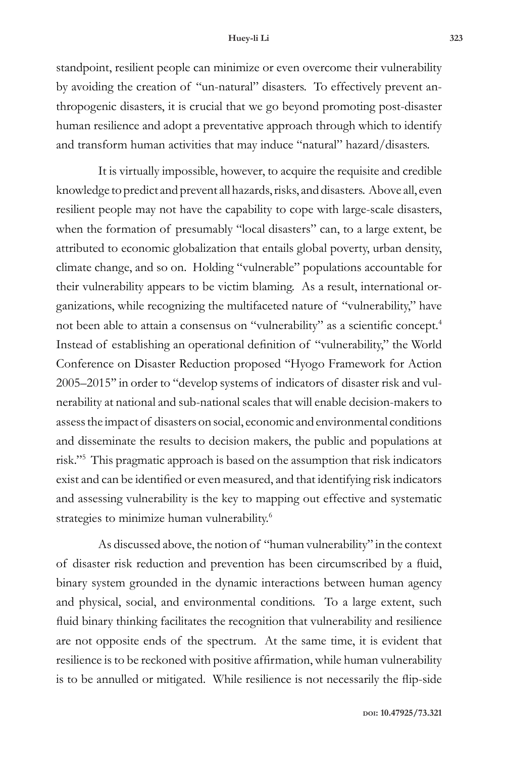#### **Huey-li Li 323**

standpoint, resilient people can minimize or even overcome their vulnerability by avoiding the creation of "un-natural" disasters. To effectively prevent anthropogenic disasters, it is crucial that we go beyond promoting post-disaster human resilience and adopt a preventative approach through which to identify and transform human activities that may induce "natural" hazard/disasters.

It is virtually impossible, however, to acquire the requisite and credible knowledge to predict and prevent all hazards, risks, and disasters. Above all, even resilient people may not have the capability to cope with large-scale disasters, when the formation of presumably "local disasters" can, to a large extent, be attributed to economic globalization that entails global poverty, urban density, climate change, and so on. Holding "vulnerable" populations accountable for their vulnerability appears to be victim blaming. As a result, international organizations, while recognizing the multifaceted nature of "vulnerability," have not been able to attain a consensus on "vulnerability" as a scientific concept.<sup>4</sup> Instead of establishing an operational definition of "vulnerability," the World Conference on Disaster Reduction proposed ''Hyogo Framework for Action 2005–2015'' in order to "develop systems of indicators of disaster risk and vulnerability at national and sub-national scales that will enable decision-makers to assess the impact of disasters on social, economic and environmental conditions and disseminate the results to decision makers, the public and populations at risk."5 This pragmatic approach is based on the assumption that risk indicators exist and can be identified or even measured, and that identifying risk indicators and assessing vulnerability is the key to mapping out effective and systematic strategies to minimize human vulnerability.<sup>6</sup>

As discussed above, the notion of "human vulnerability" in the context of disaster risk reduction and prevention has been circumscribed by a fluid, binary system grounded in the dynamic interactions between human agency and physical, social, and environmental conditions. To a large extent, such fluid binary thinking facilitates the recognition that vulnerability and resilience are not opposite ends of the spectrum. At the same time, it is evident that resilience is to be reckoned with positive affirmation, while human vulnerability is to be annulled or mitigated. While resilience is not necessarily the flip-side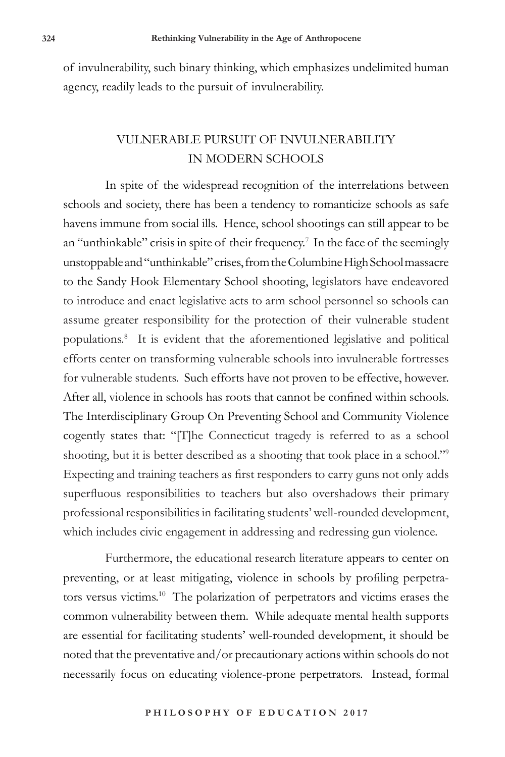of invulnerability, such binary thinking, which emphasizes undelimited human agency, readily leads to the pursuit of invulnerability.

# VULNERABLE PURSUIT OF INVULNERABILITY IN MODERN SCHOOLS

In spite of the widespread recognition of the interrelations between schools and society, there has been a tendency to romanticize schools as safe havens immune from social ills. Hence, school shootings can still appear to be an "unthinkable" crisis in spite of their frequency.<sup>7</sup> In the face of the seemingly unstoppable and "unthinkable" crises, from the Columbine High School massacre to the Sandy Hook Elementary School shooting, legislators have endeavored to introduce and enact legislative acts to arm school personnel so schools can assume greater responsibility for the protection of their vulnerable student populations.8 It is evident that the aforementioned legislative and political efforts center on transforming vulnerable schools into invulnerable fortresses for vulnerable students. Such efforts have not proven to be effective, however. After all, violence in schools has roots that cannot be confined within schools. The Interdisciplinary Group On Preventing School and Community Violence cogently states that: "[T]he Connecticut tragedy is referred to as a school shooting, but it is better described as a shooting that took place in a school."9 Expecting and training teachers as first responders to carry guns not only adds superfluous responsibilities to teachers but also overshadows their primary professional responsibilities in facilitating students' well-rounded development, which includes civic engagement in addressing and redressing gun violence.

Furthermore, the educational research literature appears to center on preventing, or at least mitigating, violence in schools by profiling perpetrators versus victims.10 The polarization of perpetrators and victims erases the common vulnerability between them. While adequate mental health supports are essential for facilitating students' well-rounded development, it should be noted that the preventative and/or precautionary actions within schools do not necessarily focus on educating violence-prone perpetrators. Instead, formal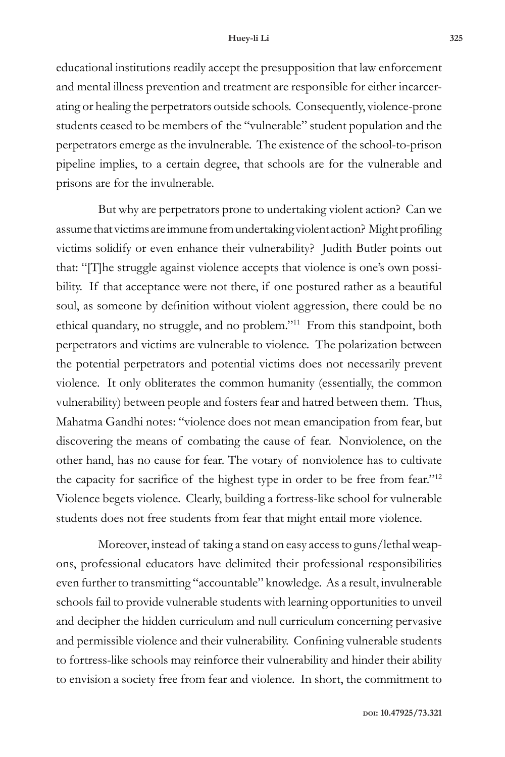educational institutions readily accept the presupposition that law enforcement and mental illness prevention and treatment are responsible for either incarcerating or healing the perpetrators outside schools. Consequently, violence-prone students ceased to be members of the "vulnerable" student population and the perpetrators emerge as the invulnerable. The existence of the school-to-prison pipeline implies, to a certain degree, that schools are for the vulnerable and prisons are for the invulnerable.

But why are perpetrators prone to undertaking violent action? Can we assume that victims are immune from undertaking violent action? Might profiling victims solidify or even enhance their vulnerability? Judith Butler points out that: "[T]he struggle against violence accepts that violence is one's own possibility. If that acceptance were not there, if one postured rather as a beautiful soul, as someone by definition without violent aggression, there could be no ethical quandary, no struggle, and no problem."11 From this standpoint, both perpetrators and victims are vulnerable to violence. The polarization between the potential perpetrators and potential victims does not necessarily prevent violence. It only obliterates the common humanity (essentially, the common vulnerability) between people and fosters fear and hatred between them. Thus, Mahatma Gandhi notes: "violence does not mean emancipation from fear, but discovering the means of combating the cause of fear. Nonviolence, on the other hand, has no cause for fear. The votary of nonviolence has to cultivate the capacity for sacrifice of the highest type in order to be free from fear."<sup>12</sup> Violence begets violence. Clearly, building a fortress-like school for vulnerable students does not free students from fear that might entail more violence.

Moreover, instead of taking a stand on easy access to guns/lethal weapons, professional educators have delimited their professional responsibilities even further to transmitting "accountable" knowledge. As a result, invulnerable schools fail to provide vulnerable students with learning opportunities to unveil and decipher the hidden curriculum and null curriculum concerning pervasive and permissible violence and their vulnerability. Confining vulnerable students to fortress-like schools may reinforce their vulnerability and hinder their ability to envision a society free from fear and violence. In short, the commitment to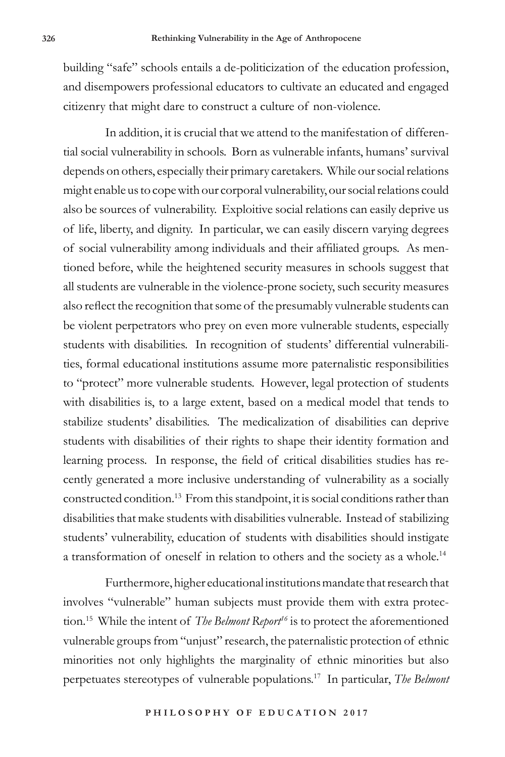building "safe" schools entails a de-politicization of the education profession, and disempowers professional educators to cultivate an educated and engaged citizenry that might dare to construct a culture of non-violence.

In addition, it is crucial that we attend to the manifestation of differential social vulnerability in schools. Born as vulnerable infants, humans' survival depends on others, especially their primary caretakers. While our social relations might enable us to cope with our corporal vulnerability, our social relations could also be sources of vulnerability. Exploitive social relations can easily deprive us of life, liberty, and dignity. In particular, we can easily discern varying degrees of social vulnerability among individuals and their affiliated groups. As mentioned before, while the heightened security measures in schools suggest that all students are vulnerable in the violence-prone society, such security measures also reflect the recognition that some of the presumably vulnerable students can be violent perpetrators who prey on even more vulnerable students, especially students with disabilities. In recognition of students' differential vulnerabilities, formal educational institutions assume more paternalistic responsibilities to "protect" more vulnerable students. However, legal protection of students with disabilities is, to a large extent, based on a medical model that tends to stabilize students' disabilities. The medicalization of disabilities can deprive students with disabilities of their rights to shape their identity formation and learning process. In response, the field of critical disabilities studies has recently generated a more inclusive understanding of vulnerability as a socially constructed condition.13 From this standpoint, it is social conditions rather than disabilities that make students with disabilities vulnerable. Instead of stabilizing students' vulnerability, education of students with disabilities should instigate a transformation of oneself in relation to others and the society as a whole.<sup>14</sup>

Furthermore, higher educational institutions mandate that research that involves "vulnerable" human subjects must provide them with extra protection.<sup>15</sup> While the intent of *The Belmont Report<sup>16</sup>* is to protect the aforementioned vulnerable groups from "unjust" research, the paternalistic protection of ethnic minorities not only highlights the marginality of ethnic minorities but also perpetuates stereotypes of vulnerable populations.17 In particular, *The Belmont*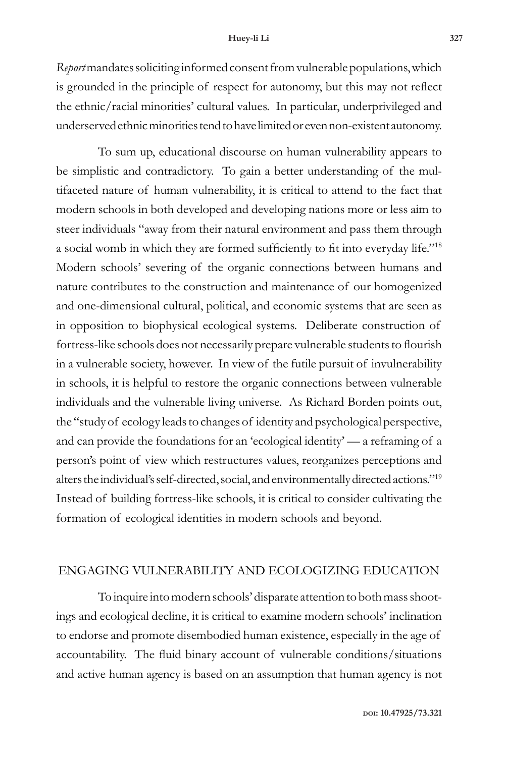#### **Huey-li Li 327**

*Report* mandates soliciting informed consent from vulnerable populations, which is grounded in the principle of respect for autonomy, but this may not reflect the ethnic/racial minorities' cultural values. In particular, underprivileged and underserved ethnic minorities tend to have limited or even non-existent autonomy.

To sum up, educational discourse on human vulnerability appears to be simplistic and contradictory. To gain a better understanding of the multifaceted nature of human vulnerability, it is critical to attend to the fact that modern schools in both developed and developing nations more or less aim to steer individuals "away from their natural environment and pass them through a social womb in which they are formed sufficiently to fit into everyday life."<sup>18</sup> Modern schools' severing of the organic connections between humans and nature contributes to the construction and maintenance of our homogenized and one-dimensional cultural, political, and economic systems that are seen as in opposition to biophysical ecological systems. Deliberate construction of fortress-like schools does not necessarily prepare vulnerable students to flourish in a vulnerable society, however. In view of the futile pursuit of invulnerability in schools, it is helpful to restore the organic connections between vulnerable individuals and the vulnerable living universe. As Richard Borden points out, the "study of ecology leads to changes of identity and psychological perspective, and can provide the foundations for an 'ecological identity' — a reframing of a person's point of view which restructures values, reorganizes perceptions and alters the individual's self-directed, social, and environmentally directed actions."19 Instead of building fortress-like schools, it is critical to consider cultivating the formation of ecological identities in modern schools and beyond.

### ENGAGING VULNERABILITY AND ECOLOGIZING EDUCATION

To inquire into modern schools' disparate attention to both mass shootings and ecological decline, it is critical to examine modern schools' inclination to endorse and promote disembodied human existence, especially in the age of accountability. The fluid binary account of vulnerable conditions/situations and active human agency is based on an assumption that human agency is not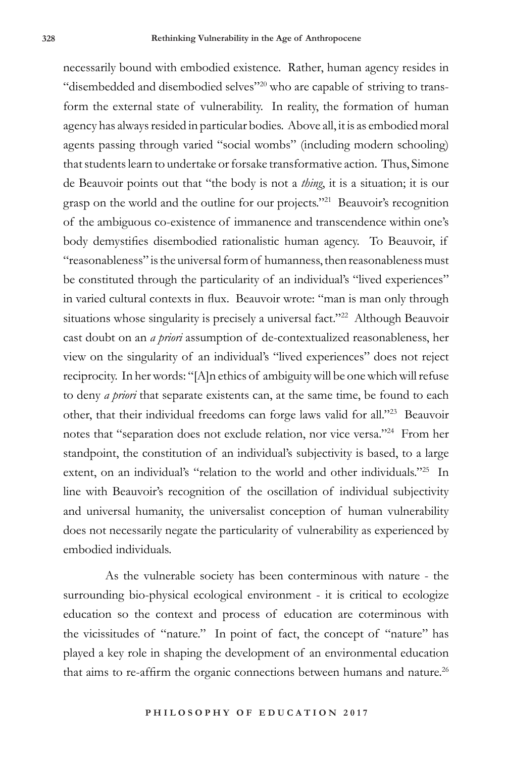necessarily bound with embodied existence. Rather, human agency resides in "disembedded and disembodied selves"<sup>20</sup> who are capable of striving to transform the external state of vulnerability. In reality, the formation of human agency has always resided in particular bodies. Above all, it is as embodied moral agents passing through varied "social wombs" (including modern schooling) that students learn to undertake or forsake transformative action. Thus, Simone de Beauvoir points out that "the body is not a *thing*, it is a situation; it is our grasp on the world and the outline for our projects."21 Beauvoir's recognition of the ambiguous co-existence of immanence and transcendence within one's body demystifies disembodied rationalistic human agency. To Beauvoir, if "reasonableness" is the universal form of humanness, then reasonableness must be constituted through the particularity of an individual's "lived experiences" in varied cultural contexts in flux. Beauvoir wrote: "man is man only through situations whose singularity is precisely a universal fact."<sup>22</sup> Although Beauvoir cast doubt on an *a priori* assumption of de-contextualized reasonableness, her view on the singularity of an individual's "lived experiences" does not reject reciprocity. In her words: "[A]n ethics of ambiguity will be one which will refuse to deny *a priori* that separate existents can, at the same time, be found to each other, that their individual freedoms can forge laws valid for all."23 Beauvoir notes that "separation does not exclude relation, nor vice versa."24 From her standpoint, the constitution of an individual's subjectivity is based, to a large extent, on an individual's "relation to the world and other individuals."25 In line with Beauvoir's recognition of the oscillation of individual subjectivity and universal humanity, the universalist conception of human vulnerability does not necessarily negate the particularity of vulnerability as experienced by embodied individuals.

As the vulnerable society has been conterminous with nature - the surrounding bio-physical ecological environment - it is critical to ecologize education so the context and process of education are coterminous with the vicissitudes of "nature." In point of fact, the concept of "nature" has played a key role in shaping the development of an environmental education that aims to re-affirm the organic connections between humans and nature.<sup>26</sup>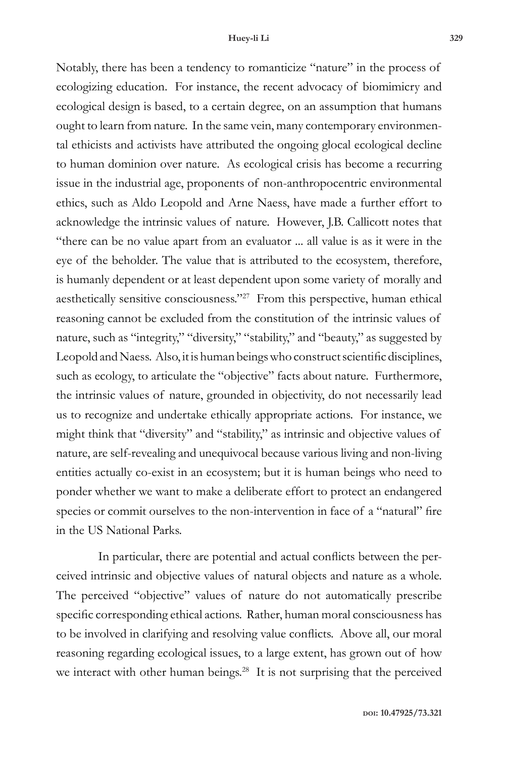Notably, there has been a tendency to romanticize "nature" in the process of ecologizing education. For instance, the recent advocacy of biomimicry and ecological design is based, to a certain degree, on an assumption that humans ought to learn from nature. In the same vein, many contemporary environmental ethicists and activists have attributed the ongoing glocal ecological decline to human dominion over nature. As ecological crisis has become a recurring issue in the industrial age, proponents of non-anthropocentric environmental ethics, such as Aldo Leopold and Arne Naess, have made a further effort to acknowledge the intrinsic values of nature. However, J.B. Callicott notes that "there can be no value apart from an evaluator ... all value is as it were in the eye of the beholder. The value that is attributed to the ecosystem, therefore, is humanly dependent or at least dependent upon some variety of morally and aesthetically sensitive consciousness."27 From this perspective, human ethical reasoning cannot be excluded from the constitution of the intrinsic values of nature, such as "integrity," "diversity," "stability," and "beauty," as suggested by Leopold and Naess. Also, it is human beings who construct scientific disciplines, such as ecology, to articulate the "objective" facts about nature. Furthermore, the intrinsic values of nature, grounded in objectivity, do not necessarily lead us to recognize and undertake ethically appropriate actions. For instance, we might think that "diversity" and "stability," as intrinsic and objective values of nature, are self-revealing and unequivocal because various living and non-living entities actually co-exist in an ecosystem; but it is human beings who need to ponder whether we want to make a deliberate effort to protect an endangered species or commit ourselves to the non-intervention in face of a "natural" fire in the US National Parks.

In particular, there are potential and actual conflicts between the perceived intrinsic and objective values of natural objects and nature as a whole. The perceived "objective" values of nature do not automatically prescribe specific corresponding ethical actions. Rather, human moral consciousness has to be involved in clarifying and resolving value conflicts. Above all, our moral reasoning regarding ecological issues, to a large extent, has grown out of how we interact with other human beings.<sup>28</sup> It is not surprising that the perceived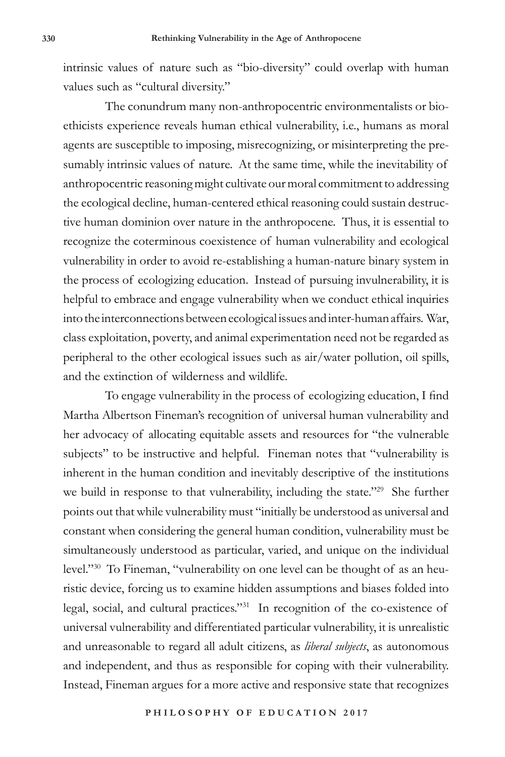intrinsic values of nature such as "bio-diversity" could overlap with human values such as "cultural diversity."

The conundrum many non-anthropocentric environmentalists or bioethicists experience reveals human ethical vulnerability, i.e., humans as moral agents are susceptible to imposing, misrecognizing, or misinterpreting the presumably intrinsic values of nature. At the same time, while the inevitability of anthropocentric reasoning might cultivate our moral commitment to addressing the ecological decline, human-centered ethical reasoning could sustain destructive human dominion over nature in the anthropocene. Thus, it is essential to recognize the coterminous coexistence of human vulnerability and ecological vulnerability in order to avoid re-establishing a human-nature binary system in the process of ecologizing education. Instead of pursuing invulnerability, it is helpful to embrace and engage vulnerability when we conduct ethical inquiries into the interconnections between ecological issues and inter-human affairs. War, class exploitation, poverty, and animal experimentation need not be regarded as peripheral to the other ecological issues such as air/water pollution, oil spills, and the extinction of wilderness and wildlife.

To engage vulnerability in the process of ecologizing education, I find Martha Albertson Fineman's recognition of universal human vulnerability and her advocacy of allocating equitable assets and resources for "the vulnerable subjects" to be instructive and helpful. Fineman notes that "vulnerability is inherent in the human condition and inevitably descriptive of the institutions we build in response to that vulnerability, including the state."<sup>29</sup> She further points out that while vulnerability must "initially be understood as universal and constant when considering the general human condition, vulnerability must be simultaneously understood as particular, varied, and unique on the individual level."30 To Fineman, "vulnerability on one level can be thought of as an heuristic device, forcing us to examine hidden assumptions and biases folded into legal, social, and cultural practices."31 In recognition of the co-existence of universal vulnerability and differentiated particular vulnerability, it is unrealistic and unreasonable to regard all adult citizens, as *liberal subjects*, as autonomous and independent, and thus as responsible for coping with their vulnerability. Instead, Fineman argues for a more active and responsive state that recognizes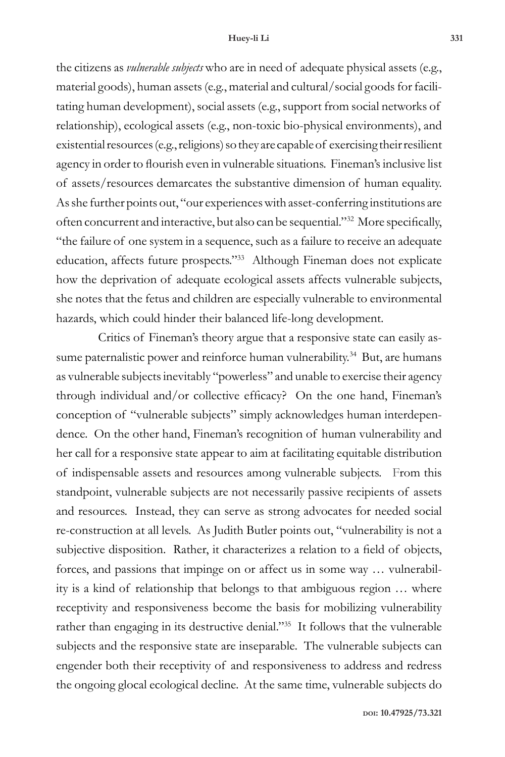#### **Huey-li Li 331**

the citizens as *vulnerable subjects* who are in need of adequate physical assets (e.g., material goods), human assets (e.g., material and cultural/social goods for facilitating human development), social assets (e.g., support from social networks of relationship), ecological assets (e.g., non-toxic bio-physical environments), and existential resources (e.g., religions) so they are capable of exercising their resilient agency in order to flourish even in vulnerable situations. Fineman's inclusive list of assets/resources demarcates the substantive dimension of human equality. As she further points out, "our experiences with asset-conferring institutions are often concurrent and interactive, but also can be sequential."32 More specifically, "the failure of one system in a sequence, such as a failure to receive an adequate education, affects future prospects."33 Although Fineman does not explicate how the deprivation of adequate ecological assets affects vulnerable subjects, she notes that the fetus and children are especially vulnerable to environmental hazards, which could hinder their balanced life-long development.

Critics of Fineman's theory argue that a responsive state can easily assume paternalistic power and reinforce human vulnerability.<sup>34</sup> But, are humans as vulnerable subjects inevitably "powerless" and unable to exercise their agency through individual and/or collective efficacy? On the one hand, Fineman's conception of "vulnerable subjects" simply acknowledges human interdependence. On the other hand, Fineman's recognition of human vulnerability and her call for a responsive state appear to aim at facilitating equitable distribution of indispensable assets and resources among vulnerable subjects. From this standpoint, vulnerable subjects are not necessarily passive recipients of assets and resources. Instead, they can serve as strong advocates for needed social re-construction at all levels. As Judith Butler points out, "vulnerability is not a subjective disposition. Rather, it characterizes a relation to a field of objects, forces, and passions that impinge on or affect us in some way … vulnerability is a kind of relationship that belongs to that ambiguous region … where receptivity and responsiveness become the basis for mobilizing vulnerability rather than engaging in its destructive denial."35 It follows that the vulnerable subjects and the responsive state are inseparable. The vulnerable subjects can engender both their receptivity of and responsiveness to address and redress the ongoing glocal ecological decline. At the same time, vulnerable subjects do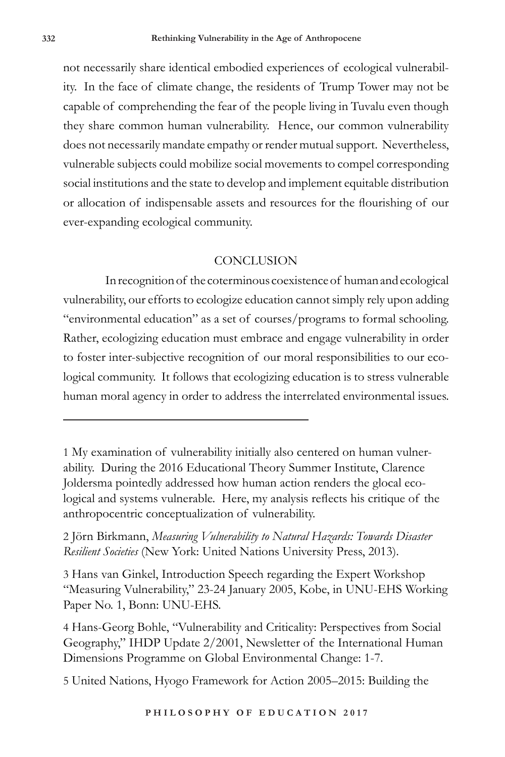not necessarily share identical embodied experiences of ecological vulnerability. In the face of climate change, the residents of Trump Tower may not be capable of comprehending the fear of the people living in Tuvalu even though they share common human vulnerability. Hence, our common vulnerability does not necessarily mandate empathy or render mutual support. Nevertheless, vulnerable subjects could mobilize social movements to compel corresponding social institutions and the state to develop and implement equitable distribution or allocation of indispensable assets and resources for the flourishing of our ever-expanding ecological community.

### **CONCLUSION**

In recognition of the coterminous coexistence of human and ecological vulnerability, our efforts to ecologize education cannot simply rely upon adding "environmental education" as a set of courses/programs to formal schooling. Rather, ecologizing education must embrace and engage vulnerability in order to foster inter-subjective recognition of our moral responsibilities to our ecological community. It follows that ecologizing education is to stress vulnerable human moral agency in order to address the interrelated environmental issues.

3 Hans van Ginkel, Introduction Speech regarding the Expert Workshop "Measuring Vulnerability," 23-24 January 2005, Kobe, in UNU-EHS Working Paper No. 1, Bonn: UNU-EHS.

4 Hans-Georg Bohle, "Vulnerability and Criticality: Perspectives from Social Geography," IHDP Update 2/2001, Newsletter of the International Human Dimensions Programme on Global Environmental Change: 1-7.

5 United Nations, Hyogo Framework for Action 2005–2015: Building the

<sup>1</sup> My examination of vulnerability initially also centered on human vulnerability. During the 2016 Educational Theory Summer Institute, Clarence Joldersma pointedly addressed how human action renders the glocal ecological and systems vulnerable. Here, my analysis reflects his critique of the anthropocentric conceptualization of vulnerability.

<sup>2</sup> Jörn Birkmann, *Measuring Vulnerability to Natural Hazards: Towards Disaster Resilient Societies* (New York: United Nations University Press, 2013).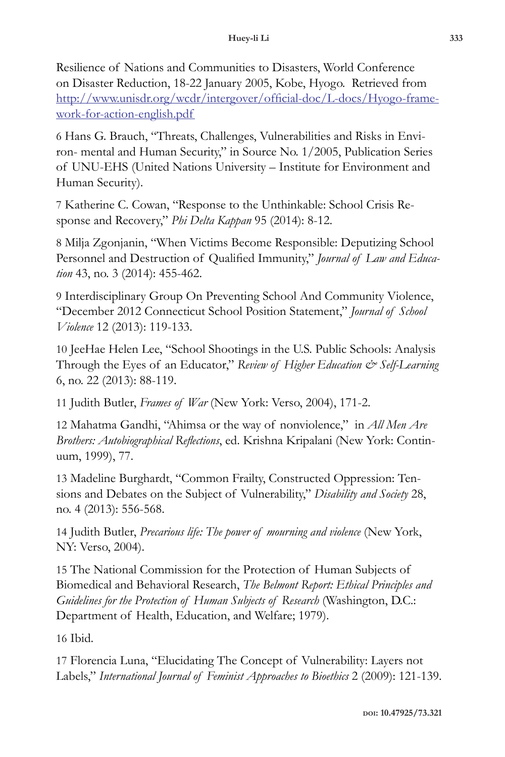Resilience of Nations and Communities to Disasters, World Conference on Disaster Reduction, 18-22 January 2005, Kobe, Hyogo. Retrieved from http://www.unisdr.org/wcdr/intergover/official-doc/L-docs/Hyogo-framework-for-action-english.pdf

6 Hans G. Brauch, "Threats, Challenges, Vulnerabilities and Risks in Environ- mental and Human Security," in Source No. 1/2005, Publication Series of UNU-EHS (United Nations University – Institute for Environment and Human Security).

7 Katherine C. Cowan, "Response to the Unthinkable: School Crisis Response and Recovery," *Phi Delta Kappan* 95 (2014): 8-12.

8 Milja Zgonjanin, "When Victims Become Responsible: Deputizing School Personnel and Destruction of Qualified Immunity," *Journal of Law and Education* 43, no. 3 (2014): 455-462.

9 Interdisciplinary Group On Preventing School And Community Violence, "December 2012 Connecticut School Position Statement," *Journal of School Violence* 12 (2013): 119-133.

10 JeeHae Helen Lee, "School Shootings in the U.S. Public Schools: Analysis Through the Eyes of an Educator," *Review of Higher Education & Self-Learning* 6, no. 22 (2013): 88-119.

11 Judith Butler, *Frames of War* (New York: Verso, 2004), 171-2.

12 Mahatma Gandhi, "Ahimsa or the way of nonviolence," in *All Men Are Brothers: Autobiographical Reflections*, ed. Krishna Kripalani (New York: Continuum, 1999), 77.

13 Madeline Burghardt, "Common Frailty, Constructed Oppression: Tensions and Debates on the Subject of Vulnerability," *Disability and Society* 28, no. 4 (2013): 556-568.

14 Judith Butler, *Precarious life: The power of mourning and violence* (New York, NY: Verso, 2004).

15 The National Commission for the Protection of Human Subjects of Biomedical and Behavioral Research, *The Belmont Report: Ethical Principles and Guidelines for the Protection of Human Subjects of Research* (Washington, D.C.: Department of Health, Education, and Welfare; 1979).

16 Ibid.

17 Florencia Luna, "Elucidating The Concept of Vulnerability: Layers not Labels," *International Journal of Feminist Approaches to Bioethics* 2 (2009): 121-139.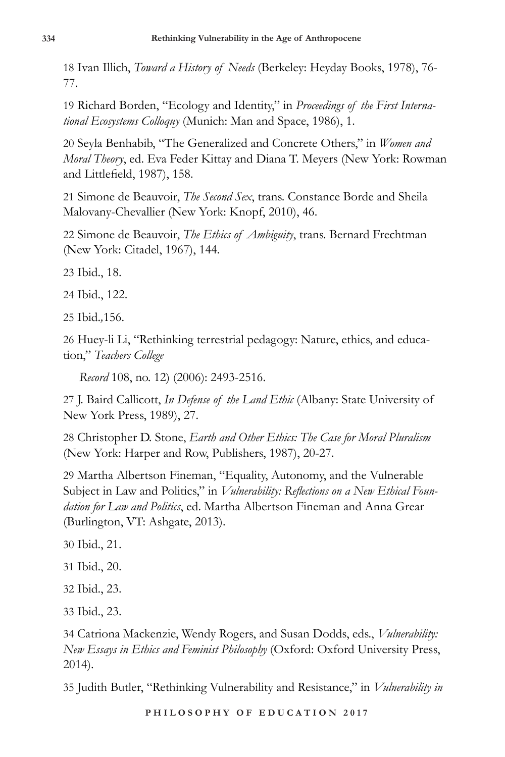18 Ivan Illich, *Toward a History of Needs* (Berkeley: Heyday Books, 1978), 76- 77.

19 Richard Borden, "Ecology and Identity," in *Proceedings of the First International Ecosystems Colloquy* (Munich: Man and Space, 1986), 1.

20 Seyla Benhabib, "The Generalized and Concrete Others," in *Women and Moral Theory*, ed. Eva Feder Kittay and Diana T. Meyers (New York: Rowman and Littlefield, 1987), 158.

21 Simone de Beauvoir, *The Second Sex*, trans. Constance Borde and Sheila Malovany-Chevallier (New York: Knopf, 2010), 46.

22 Simone de Beauvoir, *The Ethics of Ambiguity*, trans. Bernard Frechtman (New York: Citadel, 1967), 144*.*

23 Ibid., 18.

24 Ibid., 122.

25 Ibid.*,*156.

26 Huey-li Li, "Rethinking terrestrial pedagogy: Nature, ethics, and education," *Teachers College* 

 *Record* 108, no. 12) (2006): 2493-2516.

27 J. Baird Callicott, *In Defense of the Land Ethic* (Albany: State University of New York Press, 1989), 27.

28 Christopher D. Stone, *Earth and Other Ethics: The Case for Moral Pluralism* (New York: Harper and Row, Publishers, 1987), 20-27.

29 Martha Albertson Fineman, "Equality, Autonomy, and the Vulnerable Subject in Law and Politics," in *Vulnerability: Reflections on a New Ethical Foundation for Law and Politics*, ed. Martha Albertson Fineman and Anna Grear (Burlington, VT: Ashgate, 2013).

30 Ibid., 21.

31 Ibid., 20.

32 Ibid., 23.

33 Ibid., 23.

34 Catriona Mackenzie, Wendy Rogers, and Susan Dodds, eds., *Vulnerability: New Essays in Ethics and Feminist Philosophy* (Oxford: Oxford University Press, 2014).

35 Judith Butler, "Rethinking Vulnerability and Resistance," in *Vulnerability in*